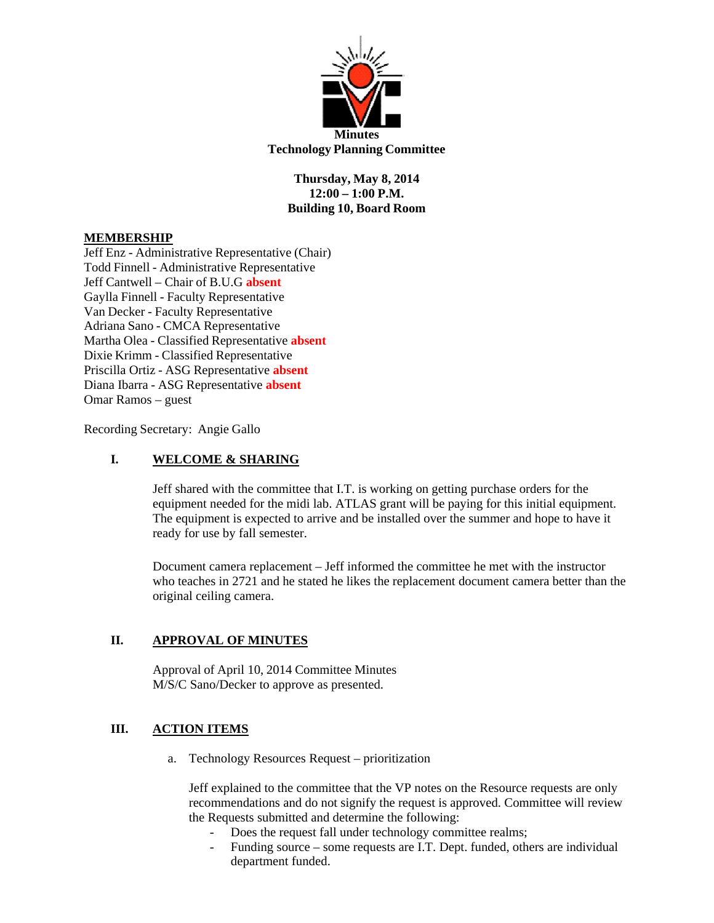

**Thursday, May 8, 2014 12:00 – 1:00 P.M. Building 10, Board Room**

# **MEMBERSHIP**

Jeff Enz - Administrative Representative (Chair) Todd Finnell - Administrative Representative Jeff Cantwell – Chair of B.U.G **absent** Gaylla Finnell - Faculty Representative Van Decker - Faculty Representative Adriana Sano - CMCA Representative Martha Olea - Classified Representative **absent** Dixie Krimm - Classified Representative Priscilla Ortiz - ASG Representative **absent** Diana Ibarra - ASG Representative **absent** Omar Ramos – guest

Recording Secretary: Angie Gallo

### **I. WELCOME & SHARING**

Jeff shared with the committee that I.T. is working on getting purchase orders for the equipment needed for the midi lab. ATLAS grant will be paying for this initial equipment. The equipment is expected to arrive and be installed over the summer and hope to have it ready for use by fall semester.

Document camera replacement – Jeff informed the committee he met with the instructor who teaches in 2721 and he stated he likes the replacement document camera better than the original ceiling camera.

# **II. APPROVAL OF MINUTES**

Approval of April 10, 2014 Committee Minutes M/S/C Sano/Decker to approve as presented.

#### **III. ACTION ITEMS**

a. Technology Resources Request – prioritization

Jeff explained to the committee that the VP notes on the Resource requests are only recommendations and do not signify the request is approved. Committee will review the Requests submitted and determine the following:

- Does the request fall under technology committee realms;
- Funding source some requests are I.T. Dept. funded, others are individual department funded.